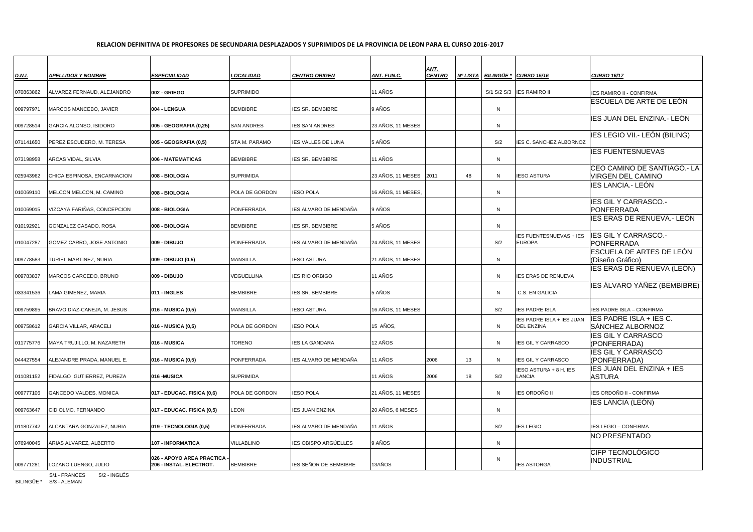## **RELACION DEFINITIVA DE PROFESORES DE SECUNDARIA DESPLAZADOS Y SUPRIMIDOS DE LA PROVINCIA DE LEON PARA EL CURSO 2016-2017**

| <b>D.N.I.</b> | <b>APELLIDOS Y NOMBRE</b>     | <b>ESPECIALIDAD</b>                                         | <b>LOCALIDAD</b>      | <b>CENTRO ORIGEN</b>        | <b>ANT. FUN.C.</b> | ANT.<br><b>CENTRO</b> | Nº LISTA | <b>BILINGÜE</b> | <b>CURSO 15/16</b>                             | <b>CURSO 16/17</b>                                      |
|---------------|-------------------------------|-------------------------------------------------------------|-----------------------|-----------------------------|--------------------|-----------------------|----------|-----------------|------------------------------------------------|---------------------------------------------------------|
| 070863862     | ALVAREZ FERNAUD, ALEJANDRO    | 002 - GRIEGO                                                | <b>SUPRIMIDO</b>      |                             | 11 AÑOS            |                       |          | S/1 S/2 S/3     | <b>IES RAMIRO II</b>                           | <b>IES RAMIRO II - CONFIRMA</b>                         |
|               |                               |                                                             |                       |                             |                    |                       |          |                 |                                                | <b>IESCUELA DE ARTE DE LEÓN</b>                         |
| 009797971     | MARCOS MANCEBO, JAVIER        | 004 - LENGUA                                                | <b>BEMBIBRE</b>       | <b>IES SR. BEMBIBRE</b>     | 9 AÑOS             |                       |          | N               |                                                | IES JUAN DEL ENZINA.- LEÓN                              |
| 009728514     | <b>GARCIA ALONSO, ISIDORO</b> | 005 - GEOGRAFIA (0,25)                                      | <b>SAN ANDRES</b>     | <b>IES SAN ANDRES</b>       | 23 AÑOS, 11 MESES  |                       |          | N               |                                                |                                                         |
| 071141650     | PEREZ ESCUDERO, M. TERESA     | 005 - GEOGRAFIA (0,5)                                       | <b>STA M. PARAMO</b>  | <b>IES VALLES DE LUNA</b>   | 5 AÑOS             |                       |          | S/2             | IES C. SANCHEZ ALBORNOZ                        | IES LEGIO VII.- LEÓN (BILING)                           |
| 073198958     | ARCAS VIDAL, SILVIA           | <b>1006 - MATEMATICAS</b>                                   | <b>BEMBIBRE</b>       | <b>IES SR. BEMBIBRE</b>     | 11 AÑOS            |                       |          | N               |                                                | <b>IES FUENTESNUEVAS</b>                                |
| 025943962     | CHICA ESPINOSA, ENCARNACION   | <b>008 - BIOLOGIA</b>                                       | <b>SUPRIMIDA</b>      |                             | 23 AÑOS, 11 MESES  | 2011                  | 48       | N               | <b>IESO ASTURA</b>                             | CEO CAMINO DE SANTIAGO.- LA<br><b>VIRGEN DEL CAMINO</b> |
| 010069110     | MELCON MELCON, M. CAMINO      | <b>008 - BIOLOGIA</b>                                       | <b>POLA DE GORDON</b> | <b>IESO POLA</b>            | 16 AÑOS, 11 MESES, |                       |          | N               |                                                | IES LANCIA.- LEÓN                                       |
| 010069015     | VIZCAYA FARIÑAS, CONCEPCION   | <b>008 - BIOLOGIA</b>                                       | <b>PONFERRADA</b>     | IES ALVARO DE MENDAÑA       | 9 AÑOS             |                       |          | N               |                                                | <b>IES GIL Y CARRASCO.-</b><br>PONFERRADA               |
| 010192921     | GONZALEZ CASADO, ROSA         | <b>008 - BIOLOGIA</b>                                       | <b>BEMBIBRE</b>       | <b>IES SR. BEMBIBRE</b>     | 5 AÑOS             |                       |          | N               |                                                | IES ERAS DE RENUEVA.- LEÓN                              |
| 010047287     | GOMEZ CARRO, JOSE ANTONIO     | <b>009 - DIBUJO</b>                                         | PONFERRADA            | IES ALVARO DE MENDAÑA       | 24 AÑOS, 11 MESES  |                       |          | S/2             | IES FUENTESNUEVAS + IES<br><b>EUROPA</b>       | <b>IES GIL Y CARRASCO.-</b><br>PONFERRADA               |
| 009778583     | TURIEL MARTINEZ, NURIA        | 009 - DIBUJO (0,5)                                          | <b>MANSILLA</b>       | IESO ASTURA                 | 21 AÑOS, 11 MESES  |                       |          | N               |                                                | <b>ESCUELA DE ARTES DE LEÓN</b><br>(Diseño Gráfico)     |
| 009783837     | MARCOS CARCEDO, BRUNO         | <b>009 - DIBUJO</b>                                         | <b>VEGUELLINA</b>     | <b>IES RIO ORBIGO</b>       | <b>11 AÑOS</b>     |                       |          | N               | IES ERAS DE RENUEVA                            | IES ERAS DE RENUEVA (LEÓN)                              |
| 033341536     | LAMA GIMENEZ, MARIA           | 011 - INGLES                                                | <b>BEMBIBRE</b>       | <b>IES SR. BEMBIBRE</b>     | 5 AÑOS             |                       |          | N               | C.S. EN GALICIA                                | IES ÁLVARO YÁÑEZ (BEMBIBRE)                             |
| 009759895     | BRAVO DIAZ-CANEJA, M. JESUS   | 016 - MUSICA (0,5)                                          | <b>MANSILLA</b>       | <b>IESO ASTURA</b>          | 16 AÑOS, 11 MESES  |                       |          | S/2             | <b>IES PADRE ISLA</b>                          | IES PADRE ISLA - CONFIRMA                               |
| 009758612     | <b>GARCIA VILLAR, ARACELI</b> | 016 - MUSICA (0,5)                                          | POLA DE GORDON        | <b>IESO POLA</b>            | 15 AÑOS,           |                       |          | N               | IES PADRE ISLA + IES JUAN<br><b>DEL ENZINA</b> | IES PADRE ISLA + IES C.<br>SÁNCHEZ ALBORNOZ             |
| 011775776     | MAYA TRUJILLO, M. NAZARETH    | 016 - MUSICA                                                | <b>TORENO</b>         | <b>IES LA GANDARA</b>       | 12 AÑOS            |                       |          | N               | <b>IES GIL Y CARRASCO</b>                      | <b>IES GIL Y CARRASCO</b><br>(PONFERRADA)               |
| 044427554     | ALEJANDRE PRADA, MANUEL E.    | 016 - MUSICA (0,5)                                          | <b>PONFERRADA</b>     | IES ALVARO DE MENDAÑA       | 11 AÑOS            | 2006                  | 13       | N               | <b>IES GIL Y CARRASCO</b>                      | <b>IES GIL Y CARRASCO</b><br>(PONFERRADA)               |
| 011081152     | FIDALGO GUTIERREZ, PUREZA     | 016 - MUSICA                                                | <b>SUPRIMIDA</b>      |                             | 11 AÑOS            | 2006                  | 18       | S/2             | IESO ASTURA + 8 H. IES<br>LANCIA               | <b>IES JUAN DEL ENZINA + IES</b><br><b>ASTURA</b>       |
| 009777106     | <b>GANCEDO VALDES, MONICA</b> | 017 - EDUCAC. FISICA (0,6)                                  | POLA DE GORDON        | <b>IESO POLA</b>            | 21 AÑOS, 11 MESES  |                       |          | N               | <b>IES ORDOÑO II</b>                           | IES ORDOÑO II - CONFIRMA                                |
| 009763647     | CID OLMO, FERNANDO            | 017 - EDUCAC. FISICA (0,5)                                  | LEON                  | <b>IES JUAN ENZINA</b>      | 20 AÑOS, 6 MESES   |                       |          | N               |                                                | IES LANCIA (LEÓN)                                       |
| 011807742     | ALCANTARA GONZALEZ, NURIA     | 019 - TECNOLOGIA (0,5)                                      | PONFERRADA            | IES ALVARO DE MENDAÑA       | 11 AÑOS            |                       |          | S/2             | <b>IES LEGIO</b>                               | IES LEGIO - CONFIRMA                                    |
| 076940045     | ARIAS ALVAREZ, ALBERTO        | <b>107 - INFORMATICA</b>                                    | <b>VILLABLINO</b>     | <b>IES OBISPO ARGÚELLES</b> | 9 AÑOS             |                       |          | N               |                                                | <b>NO PRESENTADO</b>                                    |
| 009771281     | LOZANO LUENGO, JULIO          | <b>026 - APOYO AREA PRACTICA</b><br>206 - INSTAL. ELECTROT. | <b>BEMBIBRE</b>       | IES SEÑOR DE BEMBIBRE       | 13AÑOS             |                       |          | N               | <b>IES ASTORGA</b>                             | <b>CIFP TECNOLÓGICO</b><br><b>INDUSTRIAL</b>            |

S/1 - FRANCES S/2 - INGLÉS

BILINGÜE \* S/3 - ALEMAN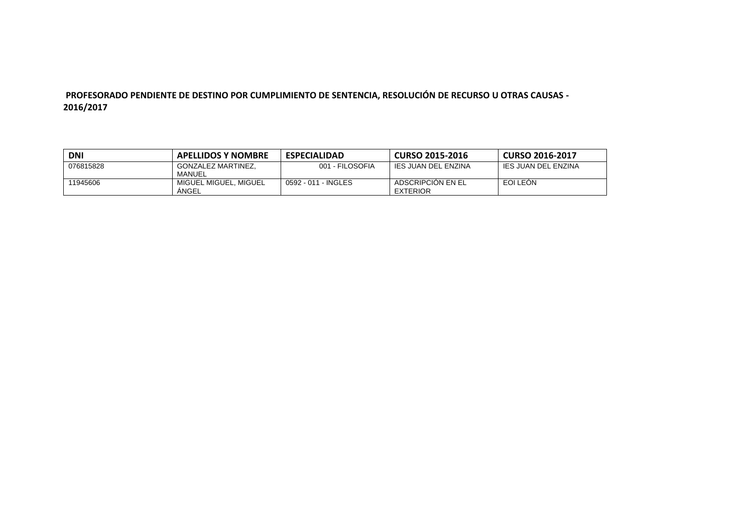## **PROFESORADO PENDIENTE DE DESTINO POR CUMPLIMIENTO DE SENTENCIA, RESOLUCIÓN DE RECURSO U OTRAS CAUSAS - 2016/2017**

| <b>DNI</b> | <b>APELLIDOS Y NOMBRE</b>      | <b>ESPECIALIDAD</b> | <b>CURSO 2015-2016</b>               | <b>CURSO 2016-2017</b> |
|------------|--------------------------------|---------------------|--------------------------------------|------------------------|
| 076815828  | GONZALEZ MARTINEZ.<br>MANUEL   | 001 - FILOSOFIA     | IES JUAN DEL ENZINA                  | IES JUAN DEL ENZINA    |
| 11945606   | MIGUEL MIGUEL. MIGUEL<br>ANGEL | 0592 - 011 - INGLES | ADSCRIPCION EN EL<br><b>EXTERIOR</b> | EOI LEON               |